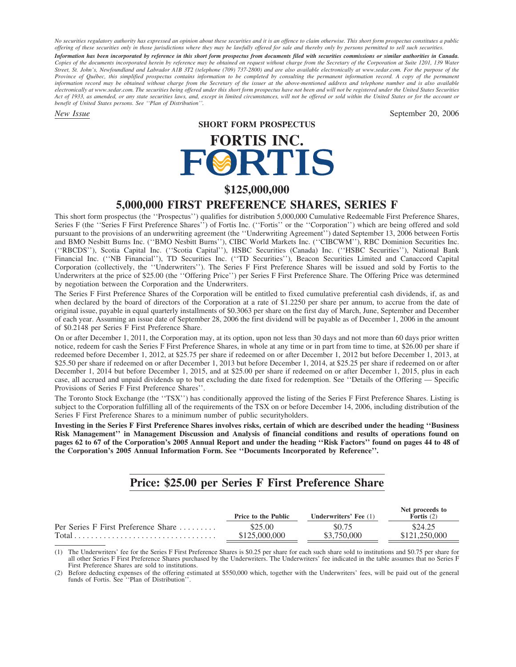*No securities regulatory authority has expressed an opinion about these securities and it is an offence to claim otherwise. This short form prospectus constitutes a public offering of these securities only in those jurisdictions where they may be lawfully offered for sale and thereby only by persons permitted to sell such securities. Information has been incorporated by reference in this short form prospectus from documents filed with securities commissions or similar authorities in Canada. Copies of the documents incorporated herein by reference may be obtained on request without charge from the Secretary of the Corporation at Suite 1201, 139 Water Street, St. John's, Newfoundland and Labrador A1B 3T2 (telephone (709) 737-2800) and are also available electronically at www.sedar.com. For the purpose of the Province of Qu´ebec, this simplified prospectus contains information to be completed by consulting the permanent information record. A copy of the permanent information record may be obtained without charge from the Secretary of the issuer at the above-mentioned address and telephone number and is also available electronically at www.sedar.com. The securities being offered under this short form prospectus have not been and will not be registered under the United States Securities Act of 1933, as amended, or any state securities laws, and, except in limited circumstances, will not be offered or sold within the United States or for the account or benefit of United States persons. See ''Plan of Distribution''.*

*New Issue* September 20, 2006

**SHORT FORM PROSPECTUS**

# **FORTIS INC.**<br>FORTIS

## **\$125,000,000**

# **5,000,000 FIRST PREFERENCE SHARES, SERIES F**

This short form prospectus (the ''Prospectus'') qualifies for distribution 5,000,000 Cumulative Redeemable First Preference Shares, Series F (the ''Series F First Preference Shares'') of Fortis Inc. (''Fortis'' or the ''Corporation'') which are being offered and sold pursuant to the provisions of an underwriting agreement (the ''Underwriting Agreement'') dated September 13, 2006 between Fortis and BMO Nesbitt Burns Inc. (''BMO Nesbitt Burns''), CIBC World Markets Inc. (''CIBCWM''), RBC Dominion Securities Inc. (''RBCDS''), Scotia Capital Inc. (''Scotia Capital''), HSBC Securities (Canada) Inc. (''HSBC Securities''), National Bank Financial Inc. (''NB Financial''), TD Securities Inc. (''TD Securities''), Beacon Securities Limited and Canaccord Capital Corporation (collectively, the ''Underwriters''). The Series F First Preference Shares will be issued and sold by Fortis to the Underwriters at the price of \$25.00 (the ''Offering Price'') per Series F First Preference Share. The Offering Price was determined by negotiation between the Corporation and the Underwriters.

The Series F First Preference Shares of the Corporation will be entitled to fixed cumulative preferential cash dividends, if, as and when declared by the board of directors of the Corporation at a rate of \$1.2250 per share per annum, to accrue from the date of original issue, payable in equal quarterly installments of \$0.3063 per share on the first day of March, June, September and December of each year. Assuming an issue date of September 28, 2006 the first dividend will be payable as of December 1, 2006 in the amount of \$0.2148 per Series F First Preference Share.

On or after December 1, 2011, the Corporation may, at its option, upon not less than 30 days and not more than 60 days prior written notice, redeem for cash the Series F First Preference Shares, in whole at any time or in part from time to time, at \$26.00 per share if redeemed before December 1, 2012, at \$25.75 per share if redeemed on or after December 1, 2012 but before December 1, 2013, at \$25.50 per share if redeemed on or after December 1, 2013 but before December 1, 2014, at \$25.25 per share if redeemed on or after December 1, 2014 but before December 1, 2015, and at \$25.00 per share if redeemed on or after December 1, 2015, plus in each case, all accrued and unpaid dividends up to but excluding the date fixed for redemption. See ''Details of the Offering — Specific Provisions of Series F First Preference Shares''.

The Toronto Stock Exchange (the ''TSX'') has conditionally approved the listing of the Series F First Preference Shares. Listing is subject to the Corporation fulfilling all of the requirements of the TSX on or before December 14, 2006, including distribution of the Series F First Preference Shares to a minimum number of public securityholders.

**Investing in the Series F First Preference Shares involves risks, certain of which are described under the heading ''Business Risk Management'' in Management Discussion and Analysis of financial conditions and results of operations found on pages 62 to 67 of the Corporation's 2005 Annual Report and under the heading ''Risk Factors'' found on pages 44 to 48 of the Corporation's 2005 Annual Information Form. See ''Documents Incorporated by Reference''.**

# **Price: \$25.00 per Series F First Preference Share**

|                                     | <b>Price to the Public</b> | <b>Underwriters' Fee</b> $(1)$ | Net proceeds to<br><b>Fortis</b> $(2)$ |
|-------------------------------------|----------------------------|--------------------------------|----------------------------------------|
| Per Series F First Preference Share | \$25.00                    | \$0.75                         | \$24.25                                |
|                                     | \$125,000,000              | \$3,750,000                    | \$121,250,000                          |

(1) The Underwriters' fee for the Series F First Preference Shares is \$0.25 per share for each such share sold to institutions and \$0.75 per share for all other Series F First Preference Shares purchased by the Underwriters. The Underwriters' fee indicated in the table assumes that no Series F First Preference Shares are sold to institutions.

(2) Before deducting expenses of the offering estimated at \$550,000 which, together with the Underwriters' fees, will be paid out of the general funds of Fortis. See ''Plan of Distribution''.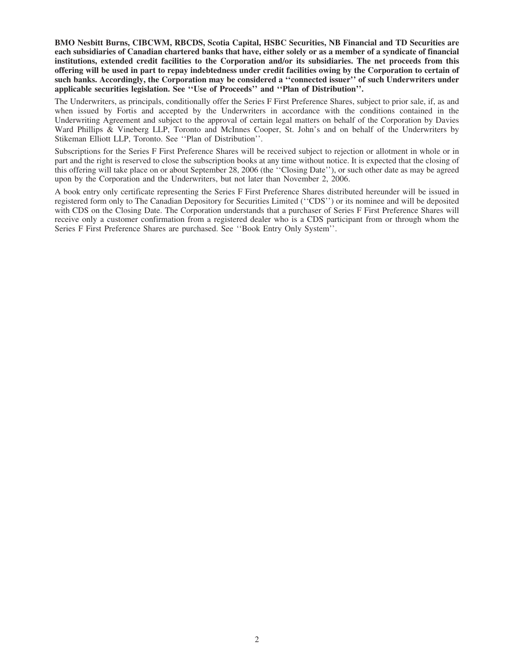**BMO Nesbitt Burns, CIBCWM, RBCDS, Scotia Capital, HSBC Securities, NB Financial and TD Securities are each subsidiaries of Canadian chartered banks that have, either solely or as a member of a syndicate of financial institutions, extended credit facilities to the Corporation and/or its subsidiaries. The net proceeds from this offering will be used in part to repay indebtedness under credit facilities owing by the Corporation to certain of such banks. Accordingly, the Corporation may be considered a ''connected issuer'' of such Underwriters under applicable securities legislation. See ''Use of Proceeds'' and ''Plan of Distribution''.**

The Underwriters, as principals, conditionally offer the Series F First Preference Shares, subject to prior sale, if, as and when issued by Fortis and accepted by the Underwriters in accordance with the conditions contained in the Underwriting Agreement and subject to the approval of certain legal matters on behalf of the Corporation by Davies Ward Phillips & Vineberg LLP, Toronto and McInnes Cooper, St. John's and on behalf of the Underwriters by Stikeman Elliott LLP, Toronto. See ''Plan of Distribution''.

Subscriptions for the Series F First Preference Shares will be received subject to rejection or allotment in whole or in part and the right is reserved to close the subscription books at any time without notice. It is expected that the closing of this offering will take place on or about September 28, 2006 (the ''Closing Date''), or such other date as may be agreed upon by the Corporation and the Underwriters, but not later than November 2, 2006.

A book entry only certificate representing the Series F First Preference Shares distributed hereunder will be issued in registered form only to The Canadian Depository for Securities Limited (''CDS'') or its nominee and will be deposited with CDS on the Closing Date. The Corporation understands that a purchaser of Series F First Preference Shares will receive only a customer confirmation from a registered dealer who is a CDS participant from or through whom the Series F First Preference Shares are purchased. See ''Book Entry Only System''.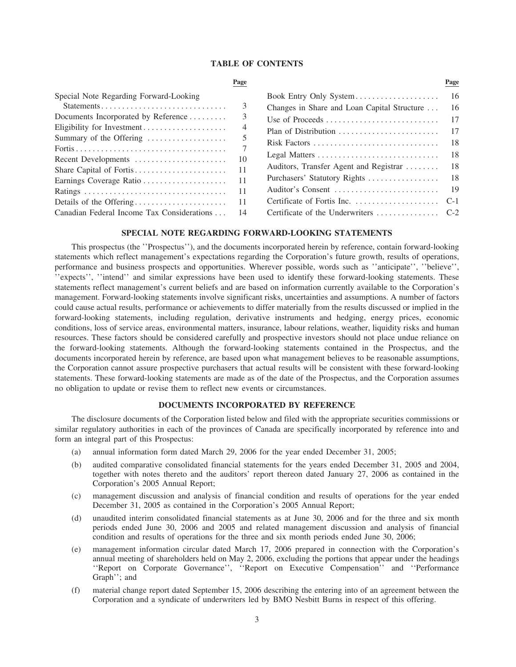#### **TABLE OF CONTENTS**

| Special Note Regarding Forward-Looking         |      | Book Entry Only System                      | -16  |
|------------------------------------------------|------|---------------------------------------------|------|
| Statements                                     |      | Changes in Share and Loan Capital Structure | 16   |
| Documents Incorporated by Reference            |      | Use of Proceeds                             | -17  |
| Eligibility for Investment                     |      |                                             | -17  |
| Summary of the Offering                        |      | Risk Factors                                | -18  |
|                                                |      |                                             |      |
| Recent Developments                            | - 10 |                                             | - 18 |
|                                                |      | Auditors, Transfer Agent and Registrar      | -18  |
|                                                |      | Purchasers' Statutory Rights                | - 18 |
|                                                | -11  |                                             |      |
|                                                |      |                                             |      |
| Canadian Federal Income Tax Considerations  14 |      |                                             |      |

|                                          | Page |                                             | Page  |
|------------------------------------------|------|---------------------------------------------|-------|
| ecial Note Regarding Forward-Looking     |      | Book Entry Only System                      | -16   |
|                                          | 3    | Changes in Share and Loan Capital Structure | 16    |
| cuments Incorporated by Reference        | 3    | Use of Proceeds                             | 17    |
| igibility for Investment                 | 4    |                                             | 17    |
| mmary of the Offering                    |      | Risk Factors                                | -18   |
| cent Developments                        | 10   |                                             | -18   |
|                                          | 11   | Auditors, Transfer Agent and Registrar      | -18   |
|                                          | 11   | Purchasers' Statutory Rights                | -18   |
|                                          | 11   | Auditor's Consent                           | -19   |
| tails of the Offering                    | 11   |                                             | $C-1$ |
| nadian Federal Income Tax Considerations | 14   |                                             |       |

#### **SPECIAL NOTE REGARDING FORWARD-LOOKING STATEMENTS**

This prospectus (the ''Prospectus''), and the documents incorporated herein by reference, contain forward-looking statements which reflect management's expectations regarding the Corporation's future growth, results of operations, performance and business prospects and opportunities. Wherever possible, words such as ''anticipate'', ''believe'', ''expects'', ''intend'' and similar expressions have been used to identify these forward-looking statements. These statements reflect management's current beliefs and are based on information currently available to the Corporation's management. Forward-looking statements involve significant risks, uncertainties and assumptions. A number of factors could cause actual results, performance or achievements to differ materially from the results discussed or implied in the forward-looking statements, including regulation, derivative instruments and hedging, energy prices, economic conditions, loss of service areas, environmental matters, insurance, labour relations, weather, liquidity risks and human resources. These factors should be considered carefully and prospective investors should not place undue reliance on the forward-looking statements. Although the forward-looking statements contained in the Prospectus, and the documents incorporated herein by reference, are based upon what management believes to be reasonable assumptions, the Corporation cannot assure prospective purchasers that actual results will be consistent with these forward-looking statements. These forward-looking statements are made as of the date of the Prospectus, and the Corporation assumes no obligation to update or revise them to reflect new events or circumstances.

#### **DOCUMENTS INCORPORATED BY REFERENCE**

The disclosure documents of the Corporation listed below and filed with the appropriate securities commissions or similar regulatory authorities in each of the provinces of Canada are specifically incorporated by reference into and form an integral part of this Prospectus:

- (a) annual information form dated March 29, 2006 for the year ended December 31, 2005;
- (b) audited comparative consolidated financial statements for the years ended December 31, 2005 and 2004, together with notes thereto and the auditors' report thereon dated January 27, 2006 as contained in the Corporation's 2005 Annual Report;
- (c) management discussion and analysis of financial condition and results of operations for the year ended December 31, 2005 as contained in the Corporation's 2005 Annual Report;
- (d) unaudited interim consolidated financial statements as at June 30, 2006 and for the three and six month periods ended June 30, 2006 and 2005 and related management discussion and analysis of financial condition and results of operations for the three and six month periods ended June 30, 2006;
- (e) management information circular dated March 17, 2006 prepared in connection with the Corporation's annual meeting of shareholders held on May 2, 2006, excluding the portions that appear under the headings ''Report on Corporate Governance'', ''Report on Executive Compensation'' and ''Performance Graph''; and
- (f) material change report dated September 15, 2006 describing the entering into of an agreement between the Corporation and a syndicate of underwriters led by BMO Nesbitt Burns in respect of this offering.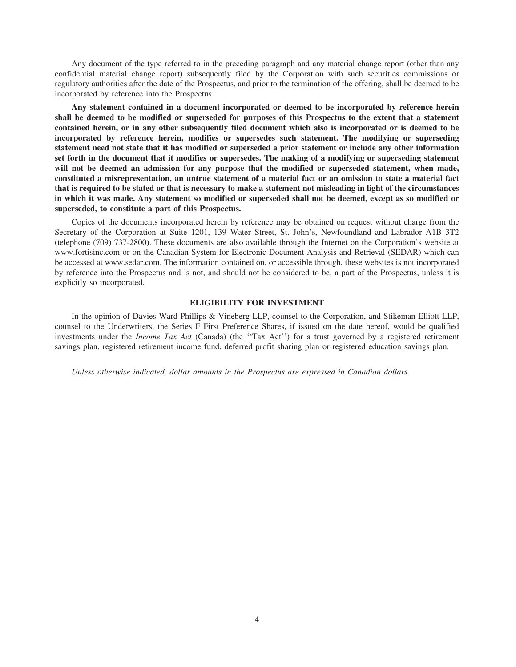Any document of the type referred to in the preceding paragraph and any material change report (other than any confidential material change report) subsequently filed by the Corporation with such securities commissions or regulatory authorities after the date of the Prospectus, and prior to the termination of the offering, shall be deemed to be incorporated by reference into the Prospectus.

**Any statement contained in a document incorporated or deemed to be incorporated by reference herein shall be deemed to be modified or superseded for purposes of this Prospectus to the extent that a statement contained herein, or in any other subsequently filed document which also is incorporated or is deemed to be incorporated by reference herein, modifies or supersedes such statement. The modifying or superseding statement need not state that it has modified or superseded a prior statement or include any other information set forth in the document that it modifies or supersedes. The making of a modifying or superseding statement will not be deemed an admission for any purpose that the modified or superseded statement, when made, constituted a misrepresentation, an untrue statement of a material fact or an omission to state a material fact that is required to be stated or that is necessary to make a statement not misleading in light of the circumstances in which it was made. Any statement so modified or superseded shall not be deemed, except as so modified or superseded, to constitute a part of this Prospectus.**

Copies of the documents incorporated herein by reference may be obtained on request without charge from the Secretary of the Corporation at Suite 1201, 139 Water Street, St. John's, Newfoundland and Labrador A1B 3T2 (telephone (709) 737-2800). These documents are also available through the Internet on the Corporation's website at www.fortisinc.com or on the Canadian System for Electronic Document Analysis and Retrieval (SEDAR) which can be accessed at www.sedar.com. The information contained on, or accessible through, these websites is not incorporated by reference into the Prospectus and is not, and should not be considered to be, a part of the Prospectus, unless it is explicitly so incorporated.

#### **ELIGIBILITY FOR INVESTMENT**

In the opinion of Davies Ward Phillips & Vineberg LLP, counsel to the Corporation, and Stikeman Elliott LLP, counsel to the Underwriters, the Series F First Preference Shares, if issued on the date hereof, would be qualified investments under the *Income Tax Act* (Canada) (the ''Tax Act'') for a trust governed by a registered retirement savings plan, registered retirement income fund, deferred profit sharing plan or registered education savings plan.

*Unless otherwise indicated, dollar amounts in the Prospectus are expressed in Canadian dollars.*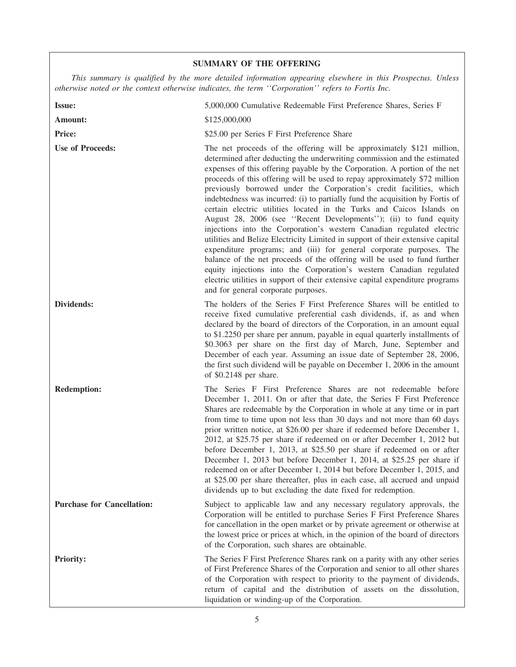### **SUMMARY OF THE OFFERING**

*This summary is qualified by the more detailed information appearing elsewhere in this Prospectus. Unless otherwise noted or the context otherwise indicates, the term ''Corporation'' refers to Fortis Inc.*

| <b>Issue:</b>                     | 5,000,000 Cumulative Redeemable First Preference Shares, Series F                                                                                                                                                                                                                                                                                                                                                                                                                                                                                                                                                                                                                                                                                                                                                                                                                                                                                                                                                                                                                                                                |
|-----------------------------------|----------------------------------------------------------------------------------------------------------------------------------------------------------------------------------------------------------------------------------------------------------------------------------------------------------------------------------------------------------------------------------------------------------------------------------------------------------------------------------------------------------------------------------------------------------------------------------------------------------------------------------------------------------------------------------------------------------------------------------------------------------------------------------------------------------------------------------------------------------------------------------------------------------------------------------------------------------------------------------------------------------------------------------------------------------------------------------------------------------------------------------|
| Amount:                           | \$125,000,000                                                                                                                                                                                                                                                                                                                                                                                                                                                                                                                                                                                                                                                                                                                                                                                                                                                                                                                                                                                                                                                                                                                    |
| <b>Price:</b>                     | \$25.00 per Series F First Preference Share                                                                                                                                                                                                                                                                                                                                                                                                                                                                                                                                                                                                                                                                                                                                                                                                                                                                                                                                                                                                                                                                                      |
| <b>Use of Proceeds:</b>           | The net proceeds of the offering will be approximately \$121 million,<br>determined after deducting the underwriting commission and the estimated<br>expenses of this offering payable by the Corporation. A portion of the net<br>proceeds of this offering will be used to repay approximately \$72 million<br>previously borrowed under the Corporation's credit facilities, which<br>indebtedness was incurred: (i) to partially fund the acquisition by Fortis of<br>certain electric utilities located in the Turks and Caicos Islands on<br>August 28, 2006 (see "Recent Developments"); (ii) to fund equity<br>injections into the Corporation's western Canadian regulated electric<br>utilities and Belize Electricity Limited in support of their extensive capital<br>expenditure programs; and (iii) for general corporate purposes. The<br>balance of the net proceeds of the offering will be used to fund further<br>equity injections into the Corporation's western Canadian regulated<br>electric utilities in support of their extensive capital expenditure programs<br>and for general corporate purposes. |
| Dividends:                        | The holders of the Series F First Preference Shares will be entitled to<br>receive fixed cumulative preferential cash dividends, if, as and when<br>declared by the board of directors of the Corporation, in an amount equal<br>to \$1.2250 per share per annum, payable in equal quarterly installments of<br>\$0.3063 per share on the first day of March, June, September and<br>December of each year. Assuming an issue date of September 28, 2006,<br>the first such dividend will be payable on December 1, 2006 in the amount<br>of \$0.2148 per share.                                                                                                                                                                                                                                                                                                                                                                                                                                                                                                                                                                 |
| <b>Redemption:</b>                | The Series F First Preference Shares are not redeemable before<br>December 1, 2011. On or after that date, the Series F First Preference<br>Shares are redeemable by the Corporation in whole at any time or in part<br>from time to time upon not less than 30 days and not more than 60 days<br>prior written notice, at \$26.00 per share if redeemed before December 1,<br>2012, at \$25.75 per share if redeemed on or after December 1, 2012 but<br>before December 1, 2013, at \$25.50 per share if redeemed on or after<br>December 1, 2013 but before December 1, 2014, at \$25.25 per share if<br>redeemed on or after December 1, 2014 but before December 1, 2015, and<br>at \$25.00 per share thereafter, plus in each case, all accrued and unpaid<br>dividends up to but excluding the date fixed for redemption.                                                                                                                                                                                                                                                                                                 |
| <b>Purchase for Cancellation:</b> | Subject to applicable law and any necessary regulatory approvals, the<br>Corporation will be entitled to purchase Series F First Preference Shares<br>for cancellation in the open market or by private agreement or otherwise at<br>the lowest price or prices at which, in the opinion of the board of directors<br>of the Corporation, such shares are obtainable.                                                                                                                                                                                                                                                                                                                                                                                                                                                                                                                                                                                                                                                                                                                                                            |
| <b>Priority:</b>                  | The Series F First Preference Shares rank on a parity with any other series<br>of First Preference Shares of the Corporation and senior to all other shares<br>of the Corporation with respect to priority to the payment of dividends,<br>return of capital and the distribution of assets on the dissolution,<br>liquidation or winding-up of the Corporation.                                                                                                                                                                                                                                                                                                                                                                                                                                                                                                                                                                                                                                                                                                                                                                 |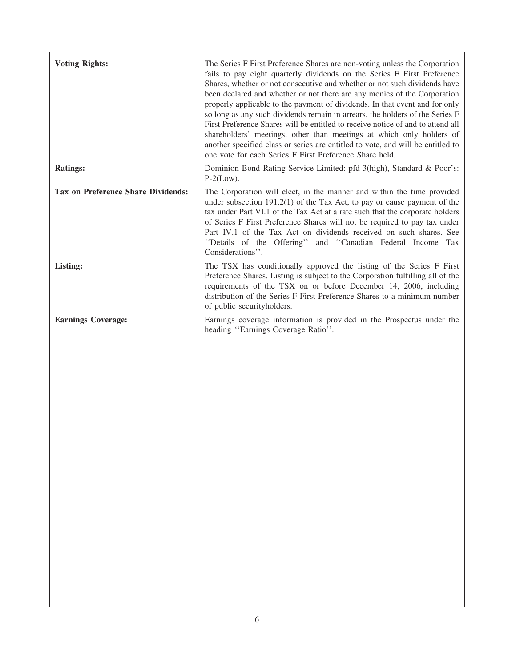| <b>Voting Rights:</b>                     | The Series F First Preference Shares are non-voting unless the Corporation<br>fails to pay eight quarterly dividends on the Series F First Preference<br>Shares, whether or not consecutive and whether or not such dividends have<br>been declared and whether or not there are any monies of the Corporation<br>properly applicable to the payment of dividends. In that event and for only<br>so long as any such dividends remain in arrears, the holders of the Series F<br>First Preference Shares will be entitled to receive notice of and to attend all<br>shareholders' meetings, other than meetings at which only holders of<br>another specified class or series are entitled to vote, and will be entitled to<br>one vote for each Series F First Preference Share held. |
|-------------------------------------------|----------------------------------------------------------------------------------------------------------------------------------------------------------------------------------------------------------------------------------------------------------------------------------------------------------------------------------------------------------------------------------------------------------------------------------------------------------------------------------------------------------------------------------------------------------------------------------------------------------------------------------------------------------------------------------------------------------------------------------------------------------------------------------------|
| <b>Ratings:</b>                           | Dominion Bond Rating Service Limited: pfd-3(high), Standard & Poor's:<br>$P-2(Low)$ .                                                                                                                                                                                                                                                                                                                                                                                                                                                                                                                                                                                                                                                                                                  |
| <b>Tax on Preference Share Dividends:</b> | The Corporation will elect, in the manner and within the time provided<br>under subsection $191.2(1)$ of the Tax Act, to pay or cause payment of the<br>tax under Part VI.1 of the Tax Act at a rate such that the corporate holders<br>of Series F First Preference Shares will not be required to pay tax under<br>Part IV.1 of the Tax Act on dividends received on such shares. See<br>"Details of the Offering" and "Canadian Federal Income Tax<br>Considerations".                                                                                                                                                                                                                                                                                                              |
| Listing:                                  | The TSX has conditionally approved the listing of the Series F First<br>Preference Shares. Listing is subject to the Corporation fulfilling all of the<br>requirements of the TSX on or before December 14, 2006, including<br>distribution of the Series F First Preference Shares to a minimum number<br>of public securityholders.                                                                                                                                                                                                                                                                                                                                                                                                                                                  |
| <b>Earnings Coverage:</b>                 | Earnings coverage information is provided in the Prospectus under the<br>heading "Earnings Coverage Ratio".                                                                                                                                                                                                                                                                                                                                                                                                                                                                                                                                                                                                                                                                            |
|                                           |                                                                                                                                                                                                                                                                                                                                                                                                                                                                                                                                                                                                                                                                                                                                                                                        |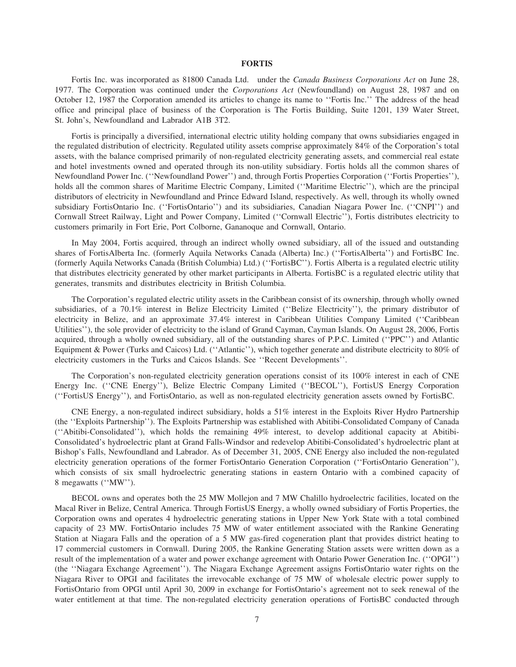#### **FORTIS**

Fortis Inc. was incorporated as 81800 Canada Ltd. under the *Canada Business Corporations Act* on June 28, 1977. The Corporation was continued under the *Corporations Act* (Newfoundland) on August 28, 1987 and on October 12, 1987 the Corporation amended its articles to change its name to ''Fortis Inc.'' The address of the head office and principal place of business of the Corporation is The Fortis Building, Suite 1201, 139 Water Street, St. John's, Newfoundland and Labrador A1B 3T2.

Fortis is principally a diversified, international electric utility holding company that owns subsidiaries engaged in the regulated distribution of electricity. Regulated utility assets comprise approximately 84% of the Corporation's total assets, with the balance comprised primarily of non-regulated electricity generating assets, and commercial real estate and hotel investments owned and operated through its non-utility subsidiary. Fortis holds all the common shares of Newfoundland Power Inc. (''Newfoundland Power'') and, through Fortis Properties Corporation (''Fortis Properties''), holds all the common shares of Maritime Electric Company, Limited (''Maritime Electric''), which are the principal distributors of electricity in Newfoundland and Prince Edward Island, respectively. As well, through its wholly owned subsidiary FortisOntario Inc. (''FortisOntario'') and its subsidiaries, Canadian Niagara Power Inc. (''CNPI'') and Cornwall Street Railway, Light and Power Company, Limited (''Cornwall Electric''), Fortis distributes electricity to customers primarily in Fort Erie, Port Colborne, Gananoque and Cornwall, Ontario.

In May 2004, Fortis acquired, through an indirect wholly owned subsidiary, all of the issued and outstanding shares of FortisAlberta Inc. (formerly Aquila Networks Canada (Alberta) Inc.) (''FortisAlberta'') and FortisBC Inc. (formerly Aquila Networks Canada (British Columbia) Ltd.) (''FortisBC''). Fortis Alberta is a regulated electric utility that distributes electricity generated by other market participants in Alberta. FortisBC is a regulated electric utility that generates, transmits and distributes electricity in British Columbia.

The Corporation's regulated electric utility assets in the Caribbean consist of its ownership, through wholly owned subsidiaries, of a 70.1% interest in Belize Electricity Limited (''Belize Electricity''), the primary distributor of electricity in Belize, and an approximate 37.4% interest in Caribbean Utilities Company Limited (''Caribbean Utilities''), the sole provider of electricity to the island of Grand Cayman, Cayman Islands. On August 28, 2006, Fortis acquired, through a wholly owned subsidiary, all of the outstanding shares of P.P.C. Limited (''PPC'') and Atlantic Equipment & Power (Turks and Caicos) Ltd. (''Atlantic''), which together generate and distribute electricity to 80% of electricity customers in the Turks and Caicos Islands. See ''Recent Developments''.

The Corporation's non-regulated electricity generation operations consist of its 100% interest in each of CNE Energy Inc. (''CNE Energy''), Belize Electric Company Limited (''BECOL''), FortisUS Energy Corporation (''FortisUS Energy''), and FortisOntario, as well as non-regulated electricity generation assets owned by FortisBC.

CNE Energy, a non-regulated indirect subsidiary, holds a 51% interest in the Exploits River Hydro Partnership (the ''Exploits Partnership''). The Exploits Partnership was established with Abitibi-Consolidated Company of Canada (''Abitibi-Consolidated''), which holds the remaining 49% interest, to develop additional capacity at Abitibi-Consolidated's hydroelectric plant at Grand Falls-Windsor and redevelop Abitibi-Consolidated's hydroelectric plant at Bishop's Falls, Newfoundland and Labrador. As of December 31, 2005, CNE Energy also included the non-regulated electricity generation operations of the former FortisOntario Generation Corporation (''FortisOntario Generation''), which consists of six small hydroelectric generating stations in eastern Ontario with a combined capacity of 8 megawatts (''MW'').

BECOL owns and operates both the 25 MW Mollejon and 7 MW Chalillo hydroelectric facilities, located on the Macal River in Belize, Central America. Through FortisUS Energy, a wholly owned subsidiary of Fortis Properties, the Corporation owns and operates 4 hydroelectric generating stations in Upper New York State with a total combined capacity of 23 MW. FortisOntario includes 75 MW of water entitlement associated with the Rankine Generating Station at Niagara Falls and the operation of a 5 MW gas-fired cogeneration plant that provides district heating to 17 commercial customers in Cornwall. During 2005, the Rankine Generating Station assets were written down as a result of the implementation of a water and power exchange agreement with Ontario Power Generation Inc. (''OPGI'') (the ''Niagara Exchange Agreement''). The Niagara Exchange Agreement assigns FortisOntario water rights on the Niagara River to OPGI and facilitates the irrevocable exchange of 75 MW of wholesale electric power supply to FortisOntario from OPGI until April 30, 2009 in exchange for FortisOntario's agreement not to seek renewal of the water entitlement at that time. The non-regulated electricity generation operations of FortisBC conducted through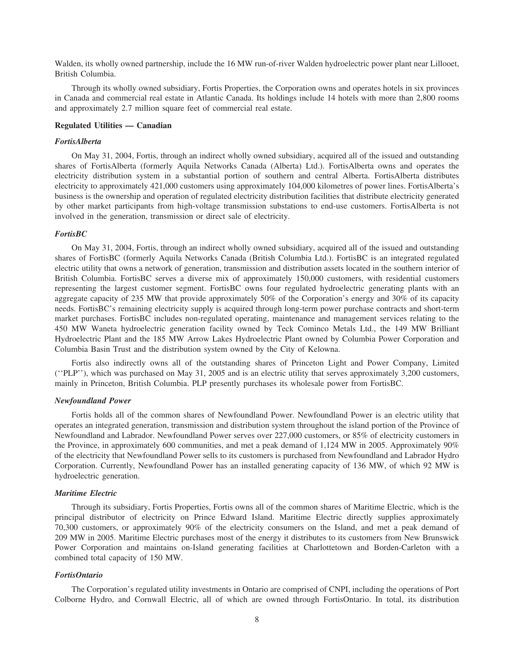Walden, its wholly owned partnership, include the 16 MW run-of-river Walden hydroelectric power plant near Lillooet, British Columbia.

Through its wholly owned subsidiary, Fortis Properties, the Corporation owns and operates hotels in six provinces in Canada and commercial real estate in Atlantic Canada. Its holdings include 14 hotels with more than 2,800 rooms and approximately 2.7 million square feet of commercial real estate.

#### **Regulated Utilities — Canadian**

#### *FortisAlberta*

On May 31, 2004, Fortis, through an indirect wholly owned subsidiary, acquired all of the issued and outstanding shares of FortisAlberta (formerly Aquila Networks Canada (Alberta) Ltd.). FortisAlberta owns and operates the electricity distribution system in a substantial portion of southern and central Alberta. FortisAlberta distributes electricity to approximately 421,000 customers using approximately 104,000 kilometres of power lines. FortisAlberta's business is the ownership and operation of regulated electricity distribution facilities that distribute electricity generated by other market participants from high-voltage transmission substations to end-use customers. FortisAlberta is not involved in the generation, transmission or direct sale of electricity.

#### *FortisBC*

On May 31, 2004, Fortis, through an indirect wholly owned subsidiary, acquired all of the issued and outstanding shares of FortisBC (formerly Aquila Networks Canada (British Columbia Ltd.). FortisBC is an integrated regulated electric utility that owns a network of generation, transmission and distribution assets located in the southern interior of British Columbia. FortisBC serves a diverse mix of approximately 150,000 customers, with residential customers representing the largest customer segment. FortisBC owns four regulated hydroelectric generating plants with an aggregate capacity of 235 MW that provide approximately 50% of the Corporation's energy and 30% of its capacity needs. FortisBC's remaining electricity supply is acquired through long-term power purchase contracts and short-term market purchases. FortisBC includes non-regulated operating, maintenance and management services relating to the 450 MW Waneta hydroelectric generation facility owned by Teck Cominco Metals Ltd., the 149 MW Brilliant Hydroelectric Plant and the 185 MW Arrow Lakes Hydroelectric Plant owned by Columbia Power Corporation and Columbia Basin Trust and the distribution system owned by the City of Kelowna.

Fortis also indirectly owns all of the outstanding shares of Princeton Light and Power Company, Limited (''PLP''), which was purchased on May 31, 2005 and is an electric utility that serves approximately 3,200 customers, mainly in Princeton, British Columbia. PLP presently purchases its wholesale power from FortisBC.

#### *Newfoundland Power*

Fortis holds all of the common shares of Newfoundland Power. Newfoundland Power is an electric utility that operates an integrated generation, transmission and distribution system throughout the island portion of the Province of Newfoundland and Labrador. Newfoundland Power serves over 227,000 customers, or 85% of electricity customers in the Province, in approximately 600 communities, and met a peak demand of 1,124 MW in 2005. Approximately 90% of the electricity that Newfoundland Power sells to its customers is purchased from Newfoundland and Labrador Hydro Corporation. Currently, Newfoundland Power has an installed generating capacity of 136 MW, of which 92 MW is hydroelectric generation.

#### *Maritime Electric*

Through its subsidiary, Fortis Properties, Fortis owns all of the common shares of Maritime Electric, which is the principal distributor of electricity on Prince Edward Island. Maritime Electric directly supplies approximately 70,300 customers, or approximately 90% of the electricity consumers on the Island, and met a peak demand of 209 MW in 2005. Maritime Electric purchases most of the energy it distributes to its customers from New Brunswick Power Corporation and maintains on-Island generating facilities at Charlottetown and Borden-Carleton with a combined total capacity of 150 MW.

#### *FortisOntario*

The Corporation's regulated utility investments in Ontario are comprised of CNPI, including the operations of Port Colborne Hydro, and Cornwall Electric, all of which are owned through FortisOntario. In total, its distribution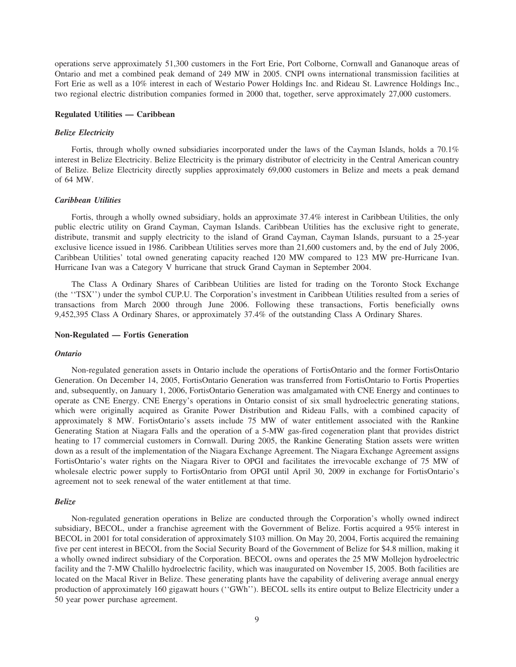operations serve approximately 51,300 customers in the Fort Erie, Port Colborne, Cornwall and Gananoque areas of Ontario and met a combined peak demand of 249 MW in 2005. CNPI owns international transmission facilities at Fort Erie as well as a 10% interest in each of Westario Power Holdings Inc. and Rideau St. Lawrence Holdings Inc., two regional electric distribution companies formed in 2000 that, together, serve approximately 27,000 customers.

#### **Regulated Utilities — Caribbean**

#### *Belize Electricity*

Fortis, through wholly owned subsidiaries incorporated under the laws of the Cayman Islands, holds a 70.1% interest in Belize Electricity. Belize Electricity is the primary distributor of electricity in the Central American country of Belize. Belize Electricity directly supplies approximately 69,000 customers in Belize and meets a peak demand of 64 MW.

#### *Caribbean Utilities*

Fortis, through a wholly owned subsidiary, holds an approximate 37.4% interest in Caribbean Utilities, the only public electric utility on Grand Cayman, Cayman Islands. Caribbean Utilities has the exclusive right to generate, distribute, transmit and supply electricity to the island of Grand Cayman, Cayman Islands, pursuant to a 25-year exclusive licence issued in 1986. Caribbean Utilities serves more than 21,600 customers and, by the end of July 2006, Caribbean Utilities' total owned generating capacity reached 120 MW compared to 123 MW pre-Hurricane Ivan. Hurricane Ivan was a Category V hurricane that struck Grand Cayman in September 2004.

The Class A Ordinary Shares of Caribbean Utilities are listed for trading on the Toronto Stock Exchange (the ''TSX'') under the symbol CUP.U. The Corporation's investment in Caribbean Utilities resulted from a series of transactions from March 2000 through June 2006. Following these transactions, Fortis beneficially owns 9,452,395 Class A Ordinary Shares, or approximately 37.4% of the outstanding Class A Ordinary Shares.

#### **Non-Regulated — Fortis Generation**

#### *Ontario*

Non-regulated generation assets in Ontario include the operations of FortisOntario and the former FortisOntario Generation. On December 14, 2005, FortisOntario Generation was transferred from FortisOntario to Fortis Properties and, subsequently, on January 1, 2006, FortisOntario Generation was amalgamated with CNE Energy and continues to operate as CNE Energy. CNE Energy's operations in Ontario consist of six small hydroelectric generating stations, which were originally acquired as Granite Power Distribution and Rideau Falls, with a combined capacity of approximately 8 MW. FortisOntario's assets include 75 MW of water entitlement associated with the Rankine Generating Station at Niagara Falls and the operation of a 5-MW gas-fired cogeneration plant that provides district heating to 17 commercial customers in Cornwall. During 2005, the Rankine Generating Station assets were written down as a result of the implementation of the Niagara Exchange Agreement. The Niagara Exchange Agreement assigns FortisOntario's water rights on the Niagara River to OPGI and facilitates the irrevocable exchange of 75 MW of wholesale electric power supply to FortisOntario from OPGI until April 30, 2009 in exchange for FortisOntario's agreement not to seek renewal of the water entitlement at that time.

#### *Belize*

Non-regulated generation operations in Belize are conducted through the Corporation's wholly owned indirect subsidiary, BECOL, under a franchise agreement with the Government of Belize. Fortis acquired a 95% interest in BECOL in 2001 for total consideration of approximately \$103 million. On May 20, 2004, Fortis acquired the remaining five per cent interest in BECOL from the Social Security Board of the Government of Belize for \$4.8 million, making it a wholly owned indirect subsidiary of the Corporation. BECOL owns and operates the 25 MW Mollejon hydroelectric facility and the 7-MW Chalillo hydroelectric facility, which was inaugurated on November 15, 2005. Both facilities are located on the Macal River in Belize. These generating plants have the capability of delivering average annual energy production of approximately 160 gigawatt hours (''GWh''). BECOL sells its entire output to Belize Electricity under a 50 year power purchase agreement.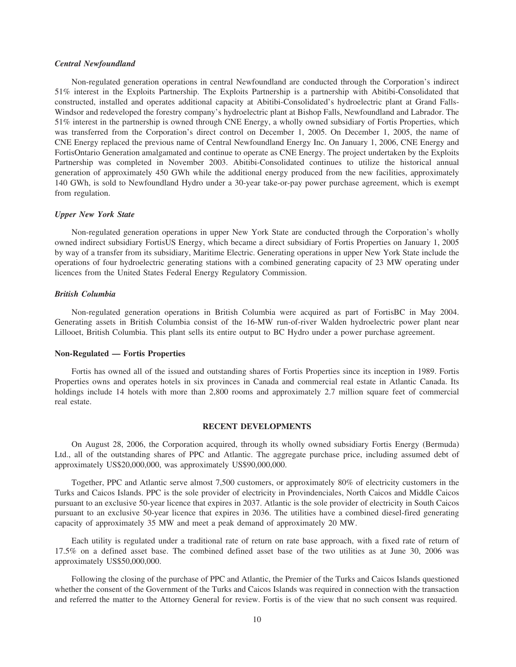#### *Central Newfoundland*

Non-regulated generation operations in central Newfoundland are conducted through the Corporation's indirect 51% interest in the Exploits Partnership. The Exploits Partnership is a partnership with Abitibi-Consolidated that constructed, installed and operates additional capacity at Abitibi-Consolidated's hydroelectric plant at Grand Falls-Windsor and redeveloped the forestry company's hydroelectric plant at Bishop Falls, Newfoundland and Labrador. The 51% interest in the partnership is owned through CNE Energy, a wholly owned subsidiary of Fortis Properties, which was transferred from the Corporation's direct control on December 1, 2005. On December 1, 2005, the name of CNE Energy replaced the previous name of Central Newfoundland Energy Inc. On January 1, 2006, CNE Energy and FortisOntario Generation amalgamated and continue to operate as CNE Energy. The project undertaken by the Exploits Partnership was completed in November 2003. Abitibi-Consolidated continues to utilize the historical annual generation of approximately 450 GWh while the additional energy produced from the new facilities, approximately 140 GWh, is sold to Newfoundland Hydro under a 30-year take-or-pay power purchase agreement, which is exempt from regulation.

#### *Upper New York State*

Non-regulated generation operations in upper New York State are conducted through the Corporation's wholly owned indirect subsidiary FortisUS Energy, which became a direct subsidiary of Fortis Properties on January 1, 2005 by way of a transfer from its subsidiary, Maritime Electric. Generating operations in upper New York State include the operations of four hydroelectric generating stations with a combined generating capacity of 23 MW operating under licences from the United States Federal Energy Regulatory Commission.

#### *British Columbia*

Non-regulated generation operations in British Columbia were acquired as part of FortisBC in May 2004. Generating assets in British Columbia consist of the 16-MW run-of-river Walden hydroelectric power plant near Lillooet, British Columbia. This plant sells its entire output to BC Hydro under a power purchase agreement.

#### **Non-Regulated — Fortis Properties**

Fortis has owned all of the issued and outstanding shares of Fortis Properties since its inception in 1989. Fortis Properties owns and operates hotels in six provinces in Canada and commercial real estate in Atlantic Canada. Its holdings include 14 hotels with more than 2,800 rooms and approximately 2.7 million square feet of commercial real estate.

#### **RECENT DEVELOPMENTS**

On August 28, 2006, the Corporation acquired, through its wholly owned subsidiary Fortis Energy (Bermuda) Ltd., all of the outstanding shares of PPC and Atlantic. The aggregate purchase price, including assumed debt of approximately US\$20,000,000, was approximately US\$90,000,000.

Together, PPC and Atlantic serve almost 7,500 customers, or approximately 80% of electricity customers in the Turks and Caicos Islands. PPC is the sole provider of electricity in Provindenciales, North Caicos and Middle Caicos pursuant to an exclusive 50-year licence that expires in 2037. Atlantic is the sole provider of electricity in South Caicos pursuant to an exclusive 50-year licence that expires in 2036. The utilities have a combined diesel-fired generating capacity of approximately 35 MW and meet a peak demand of approximately 20 MW.

Each utility is regulated under a traditional rate of return on rate base approach, with a fixed rate of return of 17.5% on a defined asset base. The combined defined asset base of the two utilities as at June 30, 2006 was approximately US\$50,000,000.

Following the closing of the purchase of PPC and Atlantic, the Premier of the Turks and Caicos Islands questioned whether the consent of the Government of the Turks and Caicos Islands was required in connection with the transaction and referred the matter to the Attorney General for review. Fortis is of the view that no such consent was required.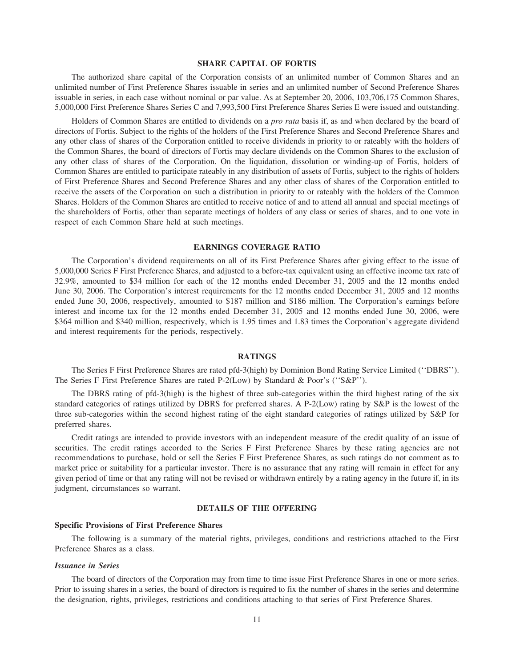#### **SHARE CAPITAL OF FORTIS**

The authorized share capital of the Corporation consists of an unlimited number of Common Shares and an unlimited number of First Preference Shares issuable in series and an unlimited number of Second Preference Shares issuable in series, in each case without nominal or par value. As at September 20, 2006, 103,706,175 Common Shares, 5,000,000 First Preference Shares Series C and 7,993,500 First Preference Shares Series E were issued and outstanding.

Holders of Common Shares are entitled to dividends on a *pro rata* basis if, as and when declared by the board of directors of Fortis. Subject to the rights of the holders of the First Preference Shares and Second Preference Shares and any other class of shares of the Corporation entitled to receive dividends in priority to or rateably with the holders of the Common Shares, the board of directors of Fortis may declare dividends on the Common Shares to the exclusion of any other class of shares of the Corporation. On the liquidation, dissolution or winding-up of Fortis, holders of Common Shares are entitled to participate rateably in any distribution of assets of Fortis, subject to the rights of holders of First Preference Shares and Second Preference Shares and any other class of shares of the Corporation entitled to receive the assets of the Corporation on such a distribution in priority to or rateably with the holders of the Common Shares. Holders of the Common Shares are entitled to receive notice of and to attend all annual and special meetings of the shareholders of Fortis, other than separate meetings of holders of any class or series of shares, and to one vote in respect of each Common Share held at such meetings.

#### **EARNINGS COVERAGE RATIO**

The Corporation's dividend requirements on all of its First Preference Shares after giving effect to the issue of 5,000,000 Series F First Preference Shares, and adjusted to a before-tax equivalent using an effective income tax rate of 32.9%, amounted to \$34 million for each of the 12 months ended December 31, 2005 and the 12 months ended June 30, 2006. The Corporation's interest requirements for the 12 months ended December 31, 2005 and 12 months ended June 30, 2006, respectively, amounted to \$187 million and \$186 million. The Corporation's earnings before interest and income tax for the 12 months ended December 31, 2005 and 12 months ended June 30, 2006, were \$364 million and \$340 million, respectively, which is 1.95 times and 1.83 times the Corporation's aggregate dividend and interest requirements for the periods, respectively.

#### **RATINGS**

The Series F First Preference Shares are rated pfd-3(high) by Dominion Bond Rating Service Limited (''DBRS''). The Series F First Preference Shares are rated P-2(Low) by Standard & Poor's (''S&P'').

The DBRS rating of pfd-3(high) is the highest of three sub-categories within the third highest rating of the six standard categories of ratings utilized by DBRS for preferred shares. A P-2(Low) rating by S&P is the lowest of the three sub-categories within the second highest rating of the eight standard categories of ratings utilized by S&P for preferred shares.

Credit ratings are intended to provide investors with an independent measure of the credit quality of an issue of securities. The credit ratings accorded to the Series F First Preference Shares by these rating agencies are not recommendations to purchase, hold or sell the Series F First Preference Shares, as such ratings do not comment as to market price or suitability for a particular investor. There is no assurance that any rating will remain in effect for any given period of time or that any rating will not be revised or withdrawn entirely by a rating agency in the future if, in its judgment, circumstances so warrant.

#### **DETAILS OF THE OFFERING**

#### **Specific Provisions of First Preference Shares**

The following is a summary of the material rights, privileges, conditions and restrictions attached to the First Preference Shares as a class.

#### *Issuance in Series*

The board of directors of the Corporation may from time to time issue First Preference Shares in one or more series. Prior to issuing shares in a series, the board of directors is required to fix the number of shares in the series and determine the designation, rights, privileges, restrictions and conditions attaching to that series of First Preference Shares.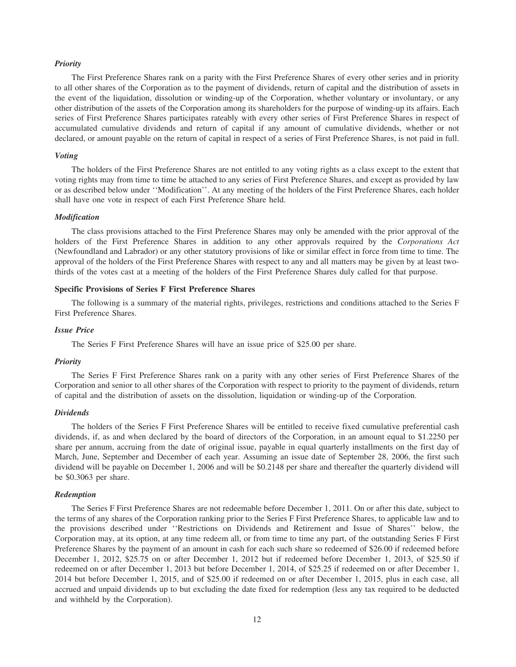#### *Priority*

The First Preference Shares rank on a parity with the First Preference Shares of every other series and in priority to all other shares of the Corporation as to the payment of dividends, return of capital and the distribution of assets in the event of the liquidation, dissolution or winding-up of the Corporation, whether voluntary or involuntary, or any other distribution of the assets of the Corporation among its shareholders for the purpose of winding-up its affairs. Each series of First Preference Shares participates rateably with every other series of First Preference Shares in respect of accumulated cumulative dividends and return of capital if any amount of cumulative dividends, whether or not declared, or amount payable on the return of capital in respect of a series of First Preference Shares, is not paid in full.

#### *Voting*

The holders of the First Preference Shares are not entitled to any voting rights as a class except to the extent that voting rights may from time to time be attached to any series of First Preference Shares, and except as provided by law or as described below under ''Modification''. At any meeting of the holders of the First Preference Shares, each holder shall have one vote in respect of each First Preference Share held.

#### *Modification*

The class provisions attached to the First Preference Shares may only be amended with the prior approval of the holders of the First Preference Shares in addition to any other approvals required by the *Corporations Act* (Newfoundland and Labrador) or any other statutory provisions of like or similar effect in force from time to time. The approval of the holders of the First Preference Shares with respect to any and all matters may be given by at least twothirds of the votes cast at a meeting of the holders of the First Preference Shares duly called for that purpose.

#### **Specific Provisions of Series F First Preference Shares**

The following is a summary of the material rights, privileges, restrictions and conditions attached to the Series F First Preference Shares.

#### *Issue Price*

The Series F First Preference Shares will have an issue price of \$25.00 per share.

#### *Priority*

The Series F First Preference Shares rank on a parity with any other series of First Preference Shares of the Corporation and senior to all other shares of the Corporation with respect to priority to the payment of dividends, return of capital and the distribution of assets on the dissolution, liquidation or winding-up of the Corporation.

#### *Dividends*

The holders of the Series F First Preference Shares will be entitled to receive fixed cumulative preferential cash dividends, if, as and when declared by the board of directors of the Corporation, in an amount equal to \$1.2250 per share per annum, accruing from the date of original issue, payable in equal quarterly installments on the first day of March, June, September and December of each year. Assuming an issue date of September 28, 2006, the first such dividend will be payable on December 1, 2006 and will be \$0.2148 per share and thereafter the quarterly dividend will be \$0.3063 per share.

#### *Redemption*

The Series F First Preference Shares are not redeemable before December 1, 2011. On or after this date, subject to the terms of any shares of the Corporation ranking prior to the Series F First Preference Shares, to applicable law and to the provisions described under ''Restrictions on Dividends and Retirement and Issue of Shares'' below, the Corporation may, at its option, at any time redeem all, or from time to time any part, of the outstanding Series F First Preference Shares by the payment of an amount in cash for each such share so redeemed of \$26.00 if redeemed before December 1, 2012, \$25.75 on or after December 1, 2012 but if redeemed before December 1, 2013, of \$25.50 if redeemed on or after December 1, 2013 but before December 1, 2014, of \$25.25 if redeemed on or after December 1, 2014 but before December 1, 2015, and of \$25.00 if redeemed on or after December 1, 2015, plus in each case, all accrued and unpaid dividends up to but excluding the date fixed for redemption (less any tax required to be deducted and withheld by the Corporation).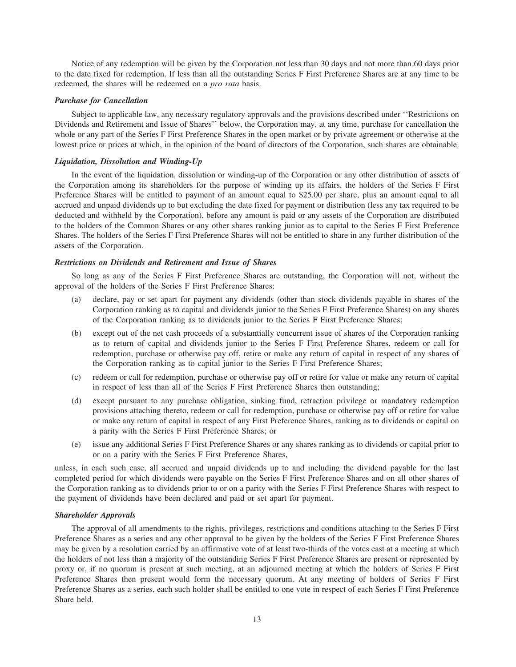Notice of any redemption will be given by the Corporation not less than 30 days and not more than 60 days prior to the date fixed for redemption. If less than all the outstanding Series F First Preference Shares are at any time to be redeemed, the shares will be redeemed on a *pro rata* basis.

#### *Purchase for Cancellation*

Subject to applicable law, any necessary regulatory approvals and the provisions described under ''Restrictions on Dividends and Retirement and Issue of Shares'' below, the Corporation may, at any time, purchase for cancellation the whole or any part of the Series F First Preference Shares in the open market or by private agreement or otherwise at the lowest price or prices at which, in the opinion of the board of directors of the Corporation, such shares are obtainable.

#### *Liquidation, Dissolution and Winding-Up*

In the event of the liquidation, dissolution or winding-up of the Corporation or any other distribution of assets of the Corporation among its shareholders for the purpose of winding up its affairs, the holders of the Series F First Preference Shares will be entitled to payment of an amount equal to \$25.00 per share, plus an amount equal to all accrued and unpaid dividends up to but excluding the date fixed for payment or distribution (less any tax required to be deducted and withheld by the Corporation), before any amount is paid or any assets of the Corporation are distributed to the holders of the Common Shares or any other shares ranking junior as to capital to the Series F First Preference Shares. The holders of the Series F First Preference Shares will not be entitled to share in any further distribution of the assets of the Corporation.

#### *Restrictions on Dividends and Retirement and Issue of Shares*

So long as any of the Series F First Preference Shares are outstanding, the Corporation will not, without the approval of the holders of the Series F First Preference Shares:

- (a) declare, pay or set apart for payment any dividends (other than stock dividends payable in shares of the Corporation ranking as to capital and dividends junior to the Series F First Preference Shares) on any shares of the Corporation ranking as to dividends junior to the Series F First Preference Shares;
- (b) except out of the net cash proceeds of a substantially concurrent issue of shares of the Corporation ranking as to return of capital and dividends junior to the Series F First Preference Shares, redeem or call for redemption, purchase or otherwise pay off, retire or make any return of capital in respect of any shares of the Corporation ranking as to capital junior to the Series F First Preference Shares;
- (c) redeem or call for redemption, purchase or otherwise pay off or retire for value or make any return of capital in respect of less than all of the Series F First Preference Shares then outstanding;
- (d) except pursuant to any purchase obligation, sinking fund, retraction privilege or mandatory redemption provisions attaching thereto, redeem or call for redemption, purchase or otherwise pay off or retire for value or make any return of capital in respect of any First Preference Shares, ranking as to dividends or capital on a parity with the Series F First Preference Shares; or
- (e) issue any additional Series F First Preference Shares or any shares ranking as to dividends or capital prior to or on a parity with the Series F First Preference Shares,

unless, in each such case, all accrued and unpaid dividends up to and including the dividend payable for the last completed period for which dividends were payable on the Series F First Preference Shares and on all other shares of the Corporation ranking as to dividends prior to or on a parity with the Series F First Preference Shares with respect to the payment of dividends have been declared and paid or set apart for payment.

#### *Shareholder Approvals*

The approval of all amendments to the rights, privileges, restrictions and conditions attaching to the Series F First Preference Shares as a series and any other approval to be given by the holders of the Series F First Preference Shares may be given by a resolution carried by an affirmative vote of at least two-thirds of the votes cast at a meeting at which the holders of not less than a majority of the outstanding Series F First Preference Shares are present or represented by proxy or, if no quorum is present at such meeting, at an adjourned meeting at which the holders of Series F First Preference Shares then present would form the necessary quorum. At any meeting of holders of Series F First Preference Shares as a series, each such holder shall be entitled to one vote in respect of each Series F First Preference Share held.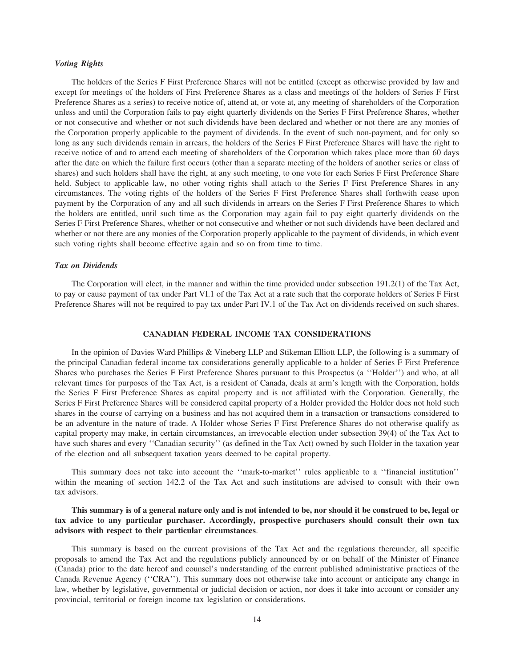#### *Voting Rights*

The holders of the Series F First Preference Shares will not be entitled (except as otherwise provided by law and except for meetings of the holders of First Preference Shares as a class and meetings of the holders of Series F First Preference Shares as a series) to receive notice of, attend at, or vote at, any meeting of shareholders of the Corporation unless and until the Corporation fails to pay eight quarterly dividends on the Series F First Preference Shares, whether or not consecutive and whether or not such dividends have been declared and whether or not there are any monies of the Corporation properly applicable to the payment of dividends. In the event of such non-payment, and for only so long as any such dividends remain in arrears, the holders of the Series F First Preference Shares will have the right to receive notice of and to attend each meeting of shareholders of the Corporation which takes place more than 60 days after the date on which the failure first occurs (other than a separate meeting of the holders of another series or class of shares) and such holders shall have the right, at any such meeting, to one vote for each Series F First Preference Share held. Subject to applicable law, no other voting rights shall attach to the Series F First Preference Shares in any circumstances. The voting rights of the holders of the Series F First Preference Shares shall forthwith cease upon payment by the Corporation of any and all such dividends in arrears on the Series F First Preference Shares to which the holders are entitled, until such time as the Corporation may again fail to pay eight quarterly dividends on the Series F First Preference Shares, whether or not consecutive and whether or not such dividends have been declared and whether or not there are any monies of the Corporation properly applicable to the payment of dividends, in which event such voting rights shall become effective again and so on from time to time.

#### *Tax on Dividends*

The Corporation will elect, in the manner and within the time provided under subsection 191.2(1) of the Tax Act, to pay or cause payment of tax under Part VI.1 of the Tax Act at a rate such that the corporate holders of Series F First Preference Shares will not be required to pay tax under Part IV.1 of the Tax Act on dividends received on such shares.

#### **CANADIAN FEDERAL INCOME TAX CONSIDERATIONS**

In the opinion of Davies Ward Phillips & Vineberg LLP and Stikeman Elliott LLP, the following is a summary of the principal Canadian federal income tax considerations generally applicable to a holder of Series F First Preference Shares who purchases the Series F First Preference Shares pursuant to this Prospectus (a ''Holder'') and who, at all relevant times for purposes of the Tax Act, is a resident of Canada, deals at arm's length with the Corporation, holds the Series F First Preference Shares as capital property and is not affiliated with the Corporation. Generally, the Series F First Preference Shares will be considered capital property of a Holder provided the Holder does not hold such shares in the course of carrying on a business and has not acquired them in a transaction or transactions considered to be an adventure in the nature of trade. A Holder whose Series F First Preference Shares do not otherwise qualify as capital property may make, in certain circumstances, an irrevocable election under subsection 39(4) of the Tax Act to have such shares and every "Canadian security" (as defined in the Tax Act) owned by such Holder in the taxation year of the election and all subsequent taxation years deemed to be capital property.

This summary does not take into account the ''mark-to-market'' rules applicable to a ''financial institution'' within the meaning of section 142.2 of the Tax Act and such institutions are advised to consult with their own tax advisors.

#### **This summary is of a general nature only and is not intended to be, nor should it be construed to be, legal or tax advice to any particular purchaser. Accordingly, prospective purchasers should consult their own tax advisors with respect to their particular circumstances**.

This summary is based on the current provisions of the Tax Act and the regulations thereunder, all specific proposals to amend the Tax Act and the regulations publicly announced by or on behalf of the Minister of Finance (Canada) prior to the date hereof and counsel's understanding of the current published administrative practices of the Canada Revenue Agency (''CRA''). This summary does not otherwise take into account or anticipate any change in law, whether by legislative, governmental or judicial decision or action, nor does it take into account or consider any provincial, territorial or foreign income tax legislation or considerations.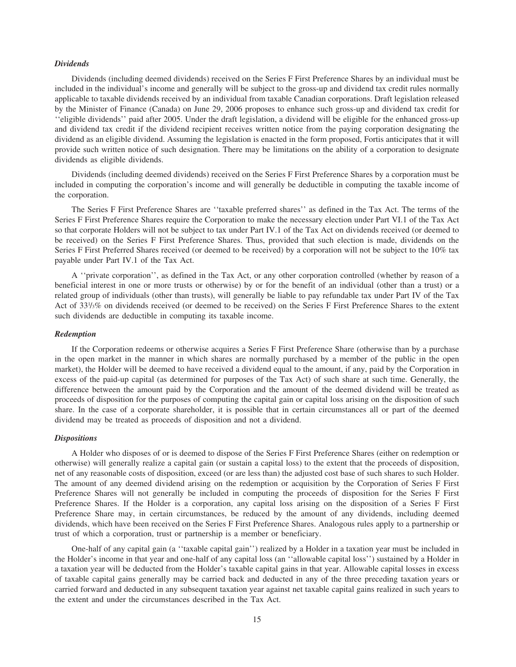#### *Dividends*

Dividends (including deemed dividends) received on the Series F First Preference Shares by an individual must be included in the individual's income and generally will be subject to the gross-up and dividend tax credit rules normally applicable to taxable dividends received by an individual from taxable Canadian corporations. Draft legislation released by the Minister of Finance (Canada) on June 29, 2006 proposes to enhance such gross-up and dividend tax credit for ''eligible dividends'' paid after 2005. Under the draft legislation, a dividend will be eligible for the enhanced gross-up and dividend tax credit if the dividend recipient receives written notice from the paying corporation designating the dividend as an eligible dividend. Assuming the legislation is enacted in the form proposed, Fortis anticipates that it will provide such written notice of such designation. There may be limitations on the ability of a corporation to designate dividends as eligible dividends.

Dividends (including deemed dividends) received on the Series F First Preference Shares by a corporation must be included in computing the corporation's income and will generally be deductible in computing the taxable income of the corporation.

The Series F First Preference Shares are ''taxable preferred shares'' as defined in the Tax Act. The terms of the Series F First Preference Shares require the Corporation to make the necessary election under Part VI.1 of the Tax Act so that corporate Holders will not be subject to tax under Part IV.1 of the Tax Act on dividends received (or deemed to be received) on the Series F First Preference Shares. Thus, provided that such election is made, dividends on the Series F First Preferred Shares received (or deemed to be received) by a corporation will not be subject to the 10% tax payable under Part IV.1 of the Tax Act.

A ''private corporation'', as defined in the Tax Act, or any other corporation controlled (whether by reason of a beneficial interest in one or more trusts or otherwise) by or for the benefit of an individual (other than a trust) or a related group of individuals (other than trusts), will generally be liable to pay refundable tax under Part IV of the Tax Act of 331 /3% on dividends received (or deemed to be received) on the Series F First Preference Shares to the extent such dividends are deductible in computing its taxable income.

#### *Redemption*

If the Corporation redeems or otherwise acquires a Series F First Preference Share (otherwise than by a purchase in the open market in the manner in which shares are normally purchased by a member of the public in the open market), the Holder will be deemed to have received a dividend equal to the amount, if any, paid by the Corporation in excess of the paid-up capital (as determined for purposes of the Tax Act) of such share at such time. Generally, the difference between the amount paid by the Corporation and the amount of the deemed dividend will be treated as proceeds of disposition for the purposes of computing the capital gain or capital loss arising on the disposition of such share. In the case of a corporate shareholder, it is possible that in certain circumstances all or part of the deemed dividend may be treated as proceeds of disposition and not a dividend.

#### *Dispositions*

A Holder who disposes of or is deemed to dispose of the Series F First Preference Shares (either on redemption or otherwise) will generally realize a capital gain (or sustain a capital loss) to the extent that the proceeds of disposition, net of any reasonable costs of disposition, exceed (or are less than) the adjusted cost base of such shares to such Holder. The amount of any deemed dividend arising on the redemption or acquisition by the Corporation of Series F First Preference Shares will not generally be included in computing the proceeds of disposition for the Series F First Preference Shares. If the Holder is a corporation, any capital loss arising on the disposition of a Series F First Preference Share may, in certain circumstances, be reduced by the amount of any dividends, including deemed dividends, which have been received on the Series F First Preference Shares. Analogous rules apply to a partnership or trust of which a corporation, trust or partnership is a member or beneficiary.

One-half of any capital gain (a ''taxable capital gain'') realized by a Holder in a taxation year must be included in the Holder's income in that year and one-half of any capital loss (an ''allowable capital loss'') sustained by a Holder in a taxation year will be deducted from the Holder's taxable capital gains in that year. Allowable capital losses in excess of taxable capital gains generally may be carried back and deducted in any of the three preceding taxation years or carried forward and deducted in any subsequent taxation year against net taxable capital gains realized in such years to the extent and under the circumstances described in the Tax Act.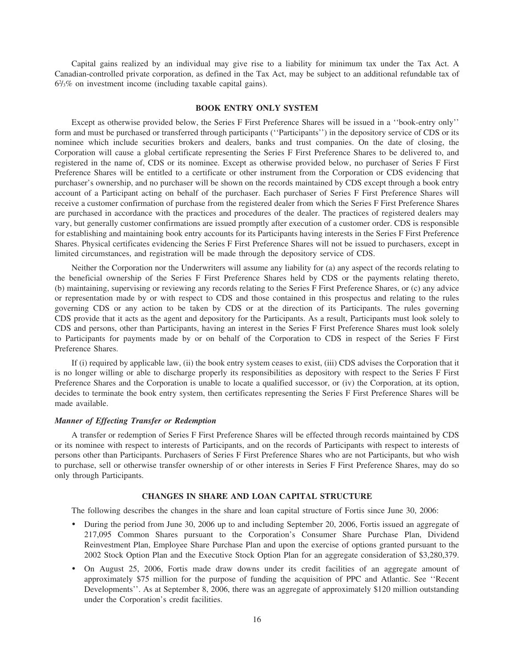Capital gains realized by an individual may give rise to a liability for minimum tax under the Tax Act. A Canadian-controlled private corporation, as defined in the Tax Act, may be subject to an additional refundable tax of 62 /3% on investment income (including taxable capital gains).

#### **BOOK ENTRY ONLY SYSTEM**

Except as otherwise provided below, the Series F First Preference Shares will be issued in a ''book-entry only'' form and must be purchased or transferred through participants (''Participants'') in the depository service of CDS or its nominee which include securities brokers and dealers, banks and trust companies. On the date of closing, the Corporation will cause a global certificate representing the Series F First Preference Shares to be delivered to, and registered in the name of, CDS or its nominee. Except as otherwise provided below, no purchaser of Series F First Preference Shares will be entitled to a certificate or other instrument from the Corporation or CDS evidencing that purchaser's ownership, and no purchaser will be shown on the records maintained by CDS except through a book entry account of a Participant acting on behalf of the purchaser. Each purchaser of Series F First Preference Shares will receive a customer confirmation of purchase from the registered dealer from which the Series F First Preference Shares are purchased in accordance with the practices and procedures of the dealer. The practices of registered dealers may vary, but generally customer confirmations are issued promptly after execution of a customer order. CDS is responsible for establishing and maintaining book entry accounts for its Participants having interests in the Series F First Preference Shares. Physical certificates evidencing the Series F First Preference Shares will not be issued to purchasers, except in limited circumstances, and registration will be made through the depository service of CDS.

Neither the Corporation nor the Underwriters will assume any liability for (a) any aspect of the records relating to the beneficial ownership of the Series F First Preference Shares held by CDS or the payments relating thereto, (b) maintaining, supervising or reviewing any records relating to the Series F First Preference Shares, or (c) any advice or representation made by or with respect to CDS and those contained in this prospectus and relating to the rules governing CDS or any action to be taken by CDS or at the direction of its Participants. The rules governing CDS provide that it acts as the agent and depository for the Participants. As a result, Participants must look solely to CDS and persons, other than Participants, having an interest in the Series F First Preference Shares must look solely to Participants for payments made by or on behalf of the Corporation to CDS in respect of the Series F First Preference Shares.

If (i) required by applicable law, (ii) the book entry system ceases to exist, (iii) CDS advises the Corporation that it is no longer willing or able to discharge properly its responsibilities as depository with respect to the Series F First Preference Shares and the Corporation is unable to locate a qualified successor, or (iv) the Corporation, at its option, decides to terminate the book entry system, then certificates representing the Series F First Preference Shares will be made available.

#### *Manner of Effecting Transfer or Redemption*

A transfer or redemption of Series F First Preference Shares will be effected through records maintained by CDS or its nominee with respect to interests of Participants, and on the records of Participants with respect to interests of persons other than Participants. Purchasers of Series F First Preference Shares who are not Participants, but who wish to purchase, sell or otherwise transfer ownership of or other interests in Series F First Preference Shares, may do so only through Participants.

#### **CHANGES IN SHARE AND LOAN CAPITAL STRUCTURE**

The following describes the changes in the share and loan capital structure of Fortis since June 30, 2006:

- ) During the period from June 30, 2006 up to and including September 20, 2006, Fortis issued an aggregate of 217,095 Common Shares pursuant to the Corporation's Consumer Share Purchase Plan, Dividend Reinvestment Plan, Employee Share Purchase Plan and upon the exercise of options granted pursuant to the 2002 Stock Option Plan and the Executive Stock Option Plan for an aggregate consideration of \$3,280,379.
- ) On August 25, 2006, Fortis made draw downs under its credit facilities of an aggregate amount of approximately \$75 million for the purpose of funding the acquisition of PPC and Atlantic. See ''Recent Developments''. As at September 8, 2006, there was an aggregate of approximately \$120 million outstanding under the Corporation's credit facilities.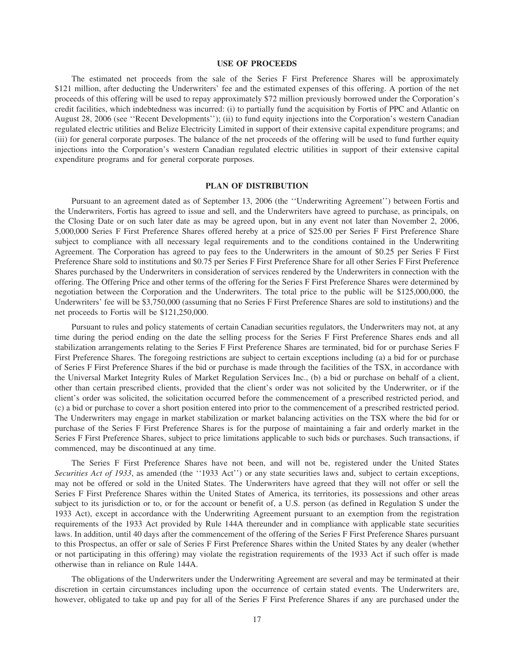#### **USE OF PROCEEDS**

The estimated net proceeds from the sale of the Series F First Preference Shares will be approximately \$121 million, after deducting the Underwriters' fee and the estimated expenses of this offering. A portion of the net proceeds of this offering will be used to repay approximately \$72 million previously borrowed under the Corporation's credit facilities, which indebtedness was incurred: (i) to partially fund the acquisition by Fortis of PPC and Atlantic on August 28, 2006 (see ''Recent Developments''); (ii) to fund equity injections into the Corporation's western Canadian regulated electric utilities and Belize Electricity Limited in support of their extensive capital expenditure programs; and (iii) for general corporate purposes. The balance of the net proceeds of the offering will be used to fund further equity injections into the Corporation's western Canadian regulated electric utilities in support of their extensive capital expenditure programs and for general corporate purposes.

#### **PLAN OF DISTRIBUTION**

Pursuant to an agreement dated as of September 13, 2006 (the ''Underwriting Agreement'') between Fortis and the Underwriters, Fortis has agreed to issue and sell, and the Underwriters have agreed to purchase, as principals, on the Closing Date or on such later date as may be agreed upon, but in any event not later than November 2, 2006, 5,000,000 Series F First Preference Shares offered hereby at a price of \$25.00 per Series F First Preference Share subject to compliance with all necessary legal requirements and to the conditions contained in the Underwriting Agreement. The Corporation has agreed to pay fees to the Underwriters in the amount of \$0.25 per Series F First Preference Share sold to institutions and \$0.75 per Series F First Preference Share for all other Series F First Preference Shares purchased by the Underwriters in consideration of services rendered by the Underwriters in connection with the offering. The Offering Price and other terms of the offering for the Series F First Preference Shares were determined by negotiation between the Corporation and the Underwriters. The total price to the public will be \$125,000,000, the Underwriters' fee will be \$3,750,000 (assuming that no Series F First Preference Shares are sold to institutions) and the net proceeds to Fortis will be \$121,250,000.

Pursuant to rules and policy statements of certain Canadian securities regulators, the Underwriters may not, at any time during the period ending on the date the selling process for the Series F First Preference Shares ends and all stabilization arrangements relating to the Series F First Preference Shares are terminated, bid for or purchase Series F First Preference Shares. The foregoing restrictions are subject to certain exceptions including (a) a bid for or purchase of Series F First Preference Shares if the bid or purchase is made through the facilities of the TSX, in accordance with the Universal Market Integrity Rules of Market Regulation Services Inc., (b) a bid or purchase on behalf of a client, other than certain prescribed clients, provided that the client's order was not solicited by the Underwriter, or if the client's order was solicited, the solicitation occurred before the commencement of a prescribed restricted period, and (c) a bid or purchase to cover a short position entered into prior to the commencement of a prescribed restricted period. The Underwriters may engage in market stabilization or market balancing activities on the TSX where the bid for or purchase of the Series F First Preference Shares is for the purpose of maintaining a fair and orderly market in the Series F First Preference Shares, subject to price limitations applicable to such bids or purchases. Such transactions, if commenced, may be discontinued at any time.

The Series F First Preference Shares have not been, and will not be, registered under the United States *Securities Act of 1933*, as amended (the ''1933 Act'') or any state securities laws and, subject to certain exceptions, may not be offered or sold in the United States. The Underwriters have agreed that they will not offer or sell the Series F First Preference Shares within the United States of America, its territories, its possessions and other areas subject to its jurisdiction or to, or for the account or benefit of, a U.S. person (as defined in Regulation S under the 1933 Act), except in accordance with the Underwriting Agreement pursuant to an exemption from the registration requirements of the 1933 Act provided by Rule 144A thereunder and in compliance with applicable state securities laws. In addition, until 40 days after the commencement of the offering of the Series F First Preference Shares pursuant to this Prospectus, an offer or sale of Series F First Preference Shares within the United States by any dealer (whether or not participating in this offering) may violate the registration requirements of the 1933 Act if such offer is made otherwise than in reliance on Rule 144A.

The obligations of the Underwriters under the Underwriting Agreement are several and may be terminated at their discretion in certain circumstances including upon the occurrence of certain stated events. The Underwriters are, however, obligated to take up and pay for all of the Series F First Preference Shares if any are purchased under the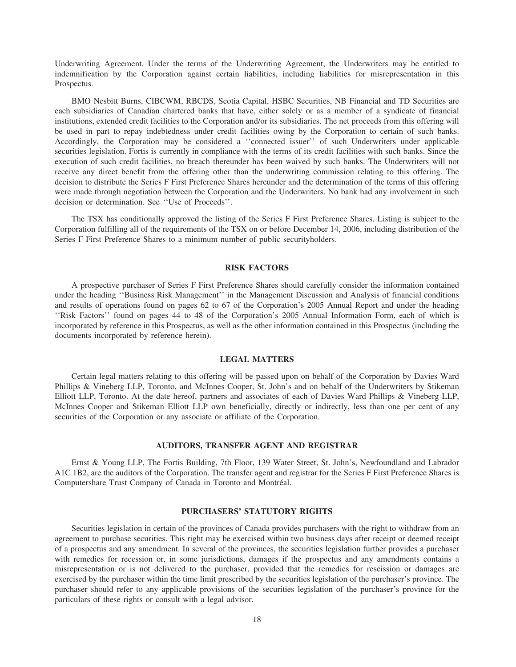Underwriting Agreement. Under the terms of the Underwriting Agreement, the Underwriters may be entitled to indemnification by the Corporation against certain liabilities, including liabilities for misrepresentation in this Prospectus.

BMO Nesbitt Burns, CIBCWM, RBCDS, Scotia Capital, HSBC Securities, NB Financial and TD Securities are each subsidiaries of Canadian chartered banks that have, either solely or as a member of a syndicate of financial institutions, extended credit facilities to the Corporation and/or its subsidiaries. The net proceeds from this offering will be used in part to repay indebtedness under credit facilities owing by the Corporation to certain of such banks. Accordingly, the Corporation may be considered a ''connected issuer'' of such Underwriters under applicable securities legislation. Fortis is currently in compliance with the terms of its credit facilities with such banks. Since the execution of such credit facilities, no breach thereunder has been waived by such banks. The Underwriters will not receive any direct benefit from the offering other than the underwriting commission relating to this offering. The decision to distribute the Series F First Preference Shares hereunder and the determination of the terms of this offering were made through negotiation between the Corporation and the Underwriters. No bank had any involvement in such decision or determination. See ''Use of Proceeds''.

The TSX has conditionally approved the listing of the Series F First Preference Shares. Listing is subject to the Corporation fulfilling all of the requirements of the TSX on or before December 14, 2006, including distribution of the Series F First Preference Shares to a minimum number of public securityholders.

#### **RISK FACTORS**

A prospective purchaser of Series F First Preference Shares should carefully consider the information contained under the heading ''Business Risk Management'' in the Management Discussion and Analysis of financial conditions and results of operations found on pages 62 to 67 of the Corporation's 2005 Annual Report and under the heading ''Risk Factors'' found on pages 44 to 48 of the Corporation's 2005 Annual Information Form, each of which is incorporated by reference in this Prospectus, as well as the other information contained in this Prospectus (including the documents incorporated by reference herein).

#### **LEGAL MATTERS**

Certain legal matters relating to this offering will be passed upon on behalf of the Corporation by Davies Ward Phillips & Vineberg LLP, Toronto, and McInnes Cooper, St. John's and on behalf of the Underwriters by Stikeman Elliott LLP, Toronto. At the date hereof, partners and associates of each of Davies Ward Phillips & Vineberg LLP, McInnes Cooper and Stikeman Elliott LLP own beneficially, directly or indirectly, less than one per cent of any securities of the Corporation or any associate or affiliate of the Corporation.

#### **AUDITORS, TRANSFER AGENT AND REGISTRAR**

Ernst & Young LLP, The Fortis Building, 7th Floor, 139 Water Street, St. John's, Newfoundland and Labrador A1C 1B2, are the auditors of the Corporation. The transfer agent and registrar for the Series F First Preference Shares is Computershare Trust Company of Canada in Toronto and Montréal.

#### **PURCHASERS' STATUTORY RIGHTS**

Securities legislation in certain of the provinces of Canada provides purchasers with the right to withdraw from an agreement to purchase securities. This right may be exercised within two business days after receipt or deemed receipt of a prospectus and any amendment. In several of the provinces, the securities legislation further provides a purchaser with remedies for recession or, in some jurisdictions, damages if the prospectus and any amendments contains a misrepresentation or is not delivered to the purchaser, provided that the remedies for rescission or damages are exercised by the purchaser within the time limit prescribed by the securities legislation of the purchaser's province. The purchaser should refer to any applicable provisions of the securities legislation of the purchaser's province for the particulars of these rights or consult with a legal advisor.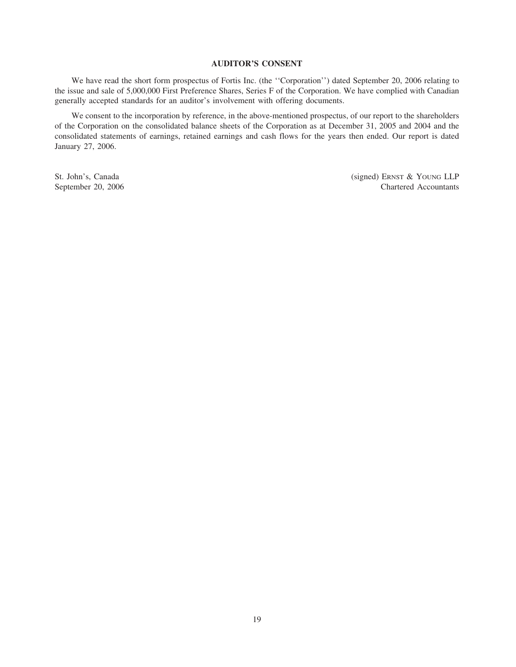#### **AUDITOR'S CONSENT**

We have read the short form prospectus of Fortis Inc. (the ''Corporation'') dated September 20, 2006 relating to the issue and sale of 5,000,000 First Preference Shares, Series F of the Corporation. We have complied with Canadian generally accepted standards for an auditor's involvement with offering documents.

We consent to the incorporation by reference, in the above-mentioned prospectus, of our report to the shareholders of the Corporation on the consolidated balance sheets of the Corporation as at December 31, 2005 and 2004 and the consolidated statements of earnings, retained earnings and cash flows for the years then ended. Our report is dated January 27, 2006.

St. John's, Canada (signed) ERNST & YOUNG LLP September 20, 2006 Chartered Accountants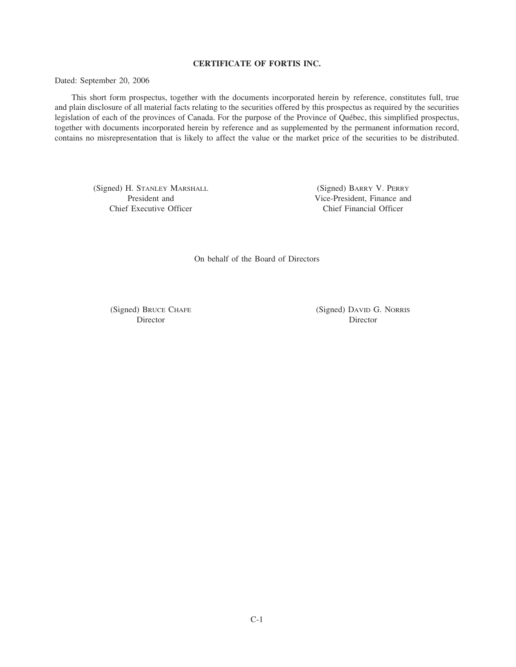#### **CERTIFICATE OF FORTIS INC.**

Dated: September 20, 2006

This short form prospectus, together with the documents incorporated herein by reference, constitutes full, true and plain disclosure of all material facts relating to the securities offered by this prospectus as required by the securities legislation of each of the provinces of Canada. For the purpose of the Province of Québec, this simplified prospectus, together with documents incorporated herein by reference and as supplemented by the permanent information record, contains no misrepresentation that is likely to affect the value or the market price of the securities to be distributed.

(Signed) H. STANLEY MARSHALL (Signed) BARRY V. PERRY Chief Executive Officer Chief Financial Officer

President and Vice-President, Finance and

On behalf of the Board of Directors

(Signed) BRUCE CHAFE (Signed) DAVID G. NORRIS Director Director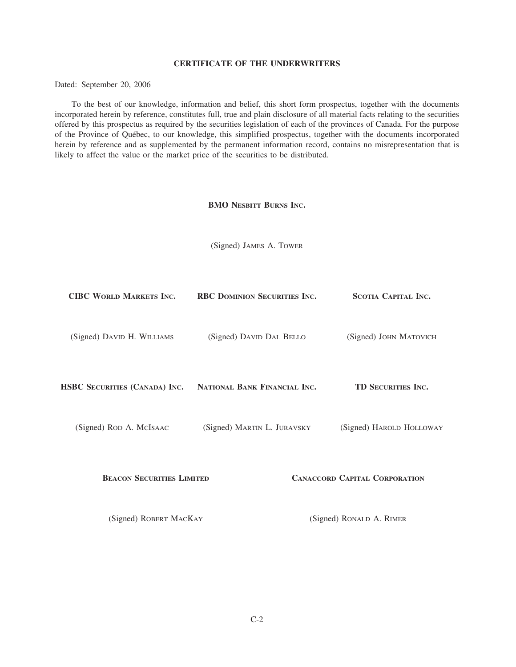#### **CERTIFICATE OF THE UNDERWRITERS**

Dated: September 20, 2006

To the best of our knowledge, information and belief, this short form prospectus, together with the documents incorporated herein by reference, constitutes full, true and plain disclosure of all material facts relating to the securities offered by this prospectus as required by the securities legislation of each of the provinces of Canada. For the purpose of the Province of Québec, to our knowledge, this simplified prospectus, together with the documents incorporated herein by reference and as supplemented by the permanent information record, contains no misrepresentation that is likely to affect the value or the market price of the securities to be distributed.

#### **BMO NESBITT BURNS INC.**

(Signed) JAMES A. TOWER

| <b>CIBC WORLD MARKETS INC.</b>   | RBC DOMINION SECURITIES INC. | <b>SCOTIA CAPITAL INC.</b>           |
|----------------------------------|------------------------------|--------------------------------------|
| (Signed) DAVID H. WILLIAMS       | (Signed) DAVID DAL BELLO     | (Signed) JOHN MATOVICH               |
| HSBC SECURITIES (CANADA) INC.    | NATIONAL BANK FINANCIAL INC. | TD SECURITIES INC.                   |
| (Signed) ROD A. MCISAAC          | (Signed) MARTIN L. JURAVSKY  | (Signed) HAROLD HOLLOWAY             |
| <b>BEACON SECURITIES LIMITED</b> |                              | <b>CANACCORD CAPITAL CORPORATION</b> |
| (Signed) ROBERT MACKAY           |                              | (Signed) RONALD A. RIMER             |
|                                  |                              |                                      |